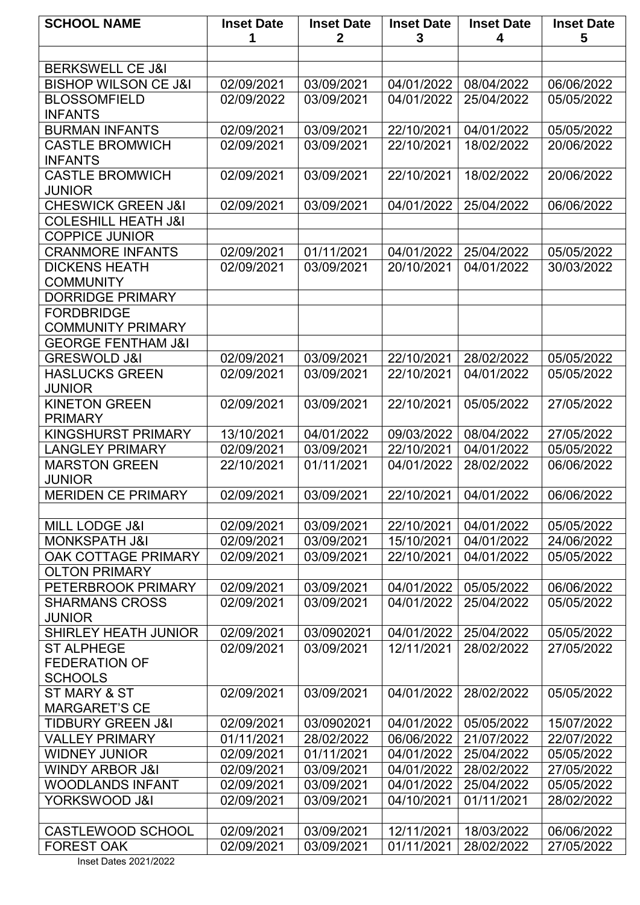| $\mathbf{2}$<br>3<br>5<br>1<br>4<br><b>BERKSWELL CE J&amp;I</b><br><b>BISHOP WILSON CE J&amp;I</b><br>02/09/2021<br>03/09/2021<br>04/01/2022<br>08/04/2022<br>06/06/2022<br><b>BLOSSOMFIELD</b><br>02/09/2022<br>04/01/2022<br>03/09/2021<br>25/04/2022<br>05/05/2022<br><b>INFANTS</b><br><b>BURMAN INFANTS</b><br>02/09/2021<br>03/09/2021<br>22/10/2021<br>04/01/2022<br>05/05/2022<br><b>CASTLE BROMWICH</b><br>02/09/2021<br>03/09/2021<br>22/10/2021<br>18/02/2022<br>20/06/2022<br><b>INFANTS</b><br><b>CASTLE BROMWICH</b><br>02/09/2021<br>03/09/2021<br>22/10/2021<br>18/02/2022<br>20/06/2022<br><b>JUNIOR</b><br><b>CHESWICK GREEN J&amp;I</b><br>02/09/2021<br>03/09/2021<br>04/01/2022<br>25/04/2022<br>06/06/2022<br><b>COLESHILL HEATH J&amp;I</b><br><b>COPPICE JUNIOR</b><br>01/11/2021<br>04/01/2022<br><b>CRANMORE INFANTS</b><br>02/09/2021<br>25/04/2022<br>05/05/2022<br><b>DICKENS HEATH</b><br>02/09/2021<br>03/09/2021<br>20/10/2021<br>04/01/2022<br>30/03/2022<br><b>COMMUNITY</b><br><b>DORRIDGE PRIMARY</b><br><b>FORDBRIDGE</b><br><b>COMMUNITY PRIMARY</b><br><b>GEORGE FENTHAM J&amp;I</b><br><b>GRESWOLD J&amp;I</b><br>22/10/2021<br>28/02/2022<br>02/09/2021<br>03/09/2021<br>05/05/2022<br><b>HASLUCKS GREEN</b><br>02/09/2021<br>03/09/2021<br>22/10/2021<br>04/01/2022<br>05/05/2022<br><b>JUNIOR</b> |
|----------------------------------------------------------------------------------------------------------------------------------------------------------------------------------------------------------------------------------------------------------------------------------------------------------------------------------------------------------------------------------------------------------------------------------------------------------------------------------------------------------------------------------------------------------------------------------------------------------------------------------------------------------------------------------------------------------------------------------------------------------------------------------------------------------------------------------------------------------------------------------------------------------------------------------------------------------------------------------------------------------------------------------------------------------------------------------------------------------------------------------------------------------------------------------------------------------------------------------------------------------------------------------------------------------------------------------------------|
|                                                                                                                                                                                                                                                                                                                                                                                                                                                                                                                                                                                                                                                                                                                                                                                                                                                                                                                                                                                                                                                                                                                                                                                                                                                                                                                                              |
|                                                                                                                                                                                                                                                                                                                                                                                                                                                                                                                                                                                                                                                                                                                                                                                                                                                                                                                                                                                                                                                                                                                                                                                                                                                                                                                                              |
|                                                                                                                                                                                                                                                                                                                                                                                                                                                                                                                                                                                                                                                                                                                                                                                                                                                                                                                                                                                                                                                                                                                                                                                                                                                                                                                                              |
|                                                                                                                                                                                                                                                                                                                                                                                                                                                                                                                                                                                                                                                                                                                                                                                                                                                                                                                                                                                                                                                                                                                                                                                                                                                                                                                                              |
|                                                                                                                                                                                                                                                                                                                                                                                                                                                                                                                                                                                                                                                                                                                                                                                                                                                                                                                                                                                                                                                                                                                                                                                                                                                                                                                                              |
|                                                                                                                                                                                                                                                                                                                                                                                                                                                                                                                                                                                                                                                                                                                                                                                                                                                                                                                                                                                                                                                                                                                                                                                                                                                                                                                                              |
|                                                                                                                                                                                                                                                                                                                                                                                                                                                                                                                                                                                                                                                                                                                                                                                                                                                                                                                                                                                                                                                                                                                                                                                                                                                                                                                                              |
|                                                                                                                                                                                                                                                                                                                                                                                                                                                                                                                                                                                                                                                                                                                                                                                                                                                                                                                                                                                                                                                                                                                                                                                                                                                                                                                                              |
|                                                                                                                                                                                                                                                                                                                                                                                                                                                                                                                                                                                                                                                                                                                                                                                                                                                                                                                                                                                                                                                                                                                                                                                                                                                                                                                                              |
|                                                                                                                                                                                                                                                                                                                                                                                                                                                                                                                                                                                                                                                                                                                                                                                                                                                                                                                                                                                                                                                                                                                                                                                                                                                                                                                                              |
|                                                                                                                                                                                                                                                                                                                                                                                                                                                                                                                                                                                                                                                                                                                                                                                                                                                                                                                                                                                                                                                                                                                                                                                                                                                                                                                                              |
|                                                                                                                                                                                                                                                                                                                                                                                                                                                                                                                                                                                                                                                                                                                                                                                                                                                                                                                                                                                                                                                                                                                                                                                                                                                                                                                                              |
|                                                                                                                                                                                                                                                                                                                                                                                                                                                                                                                                                                                                                                                                                                                                                                                                                                                                                                                                                                                                                                                                                                                                                                                                                                                                                                                                              |
|                                                                                                                                                                                                                                                                                                                                                                                                                                                                                                                                                                                                                                                                                                                                                                                                                                                                                                                                                                                                                                                                                                                                                                                                                                                                                                                                              |
|                                                                                                                                                                                                                                                                                                                                                                                                                                                                                                                                                                                                                                                                                                                                                                                                                                                                                                                                                                                                                                                                                                                                                                                                                                                                                                                                              |
|                                                                                                                                                                                                                                                                                                                                                                                                                                                                                                                                                                                                                                                                                                                                                                                                                                                                                                                                                                                                                                                                                                                                                                                                                                                                                                                                              |
|                                                                                                                                                                                                                                                                                                                                                                                                                                                                                                                                                                                                                                                                                                                                                                                                                                                                                                                                                                                                                                                                                                                                                                                                                                                                                                                                              |
|                                                                                                                                                                                                                                                                                                                                                                                                                                                                                                                                                                                                                                                                                                                                                                                                                                                                                                                                                                                                                                                                                                                                                                                                                                                                                                                                              |
|                                                                                                                                                                                                                                                                                                                                                                                                                                                                                                                                                                                                                                                                                                                                                                                                                                                                                                                                                                                                                                                                                                                                                                                                                                                                                                                                              |
|                                                                                                                                                                                                                                                                                                                                                                                                                                                                                                                                                                                                                                                                                                                                                                                                                                                                                                                                                                                                                                                                                                                                                                                                                                                                                                                                              |
|                                                                                                                                                                                                                                                                                                                                                                                                                                                                                                                                                                                                                                                                                                                                                                                                                                                                                                                                                                                                                                                                                                                                                                                                                                                                                                                                              |
|                                                                                                                                                                                                                                                                                                                                                                                                                                                                                                                                                                                                                                                                                                                                                                                                                                                                                                                                                                                                                                                                                                                                                                                                                                                                                                                                              |
|                                                                                                                                                                                                                                                                                                                                                                                                                                                                                                                                                                                                                                                                                                                                                                                                                                                                                                                                                                                                                                                                                                                                                                                                                                                                                                                                              |
|                                                                                                                                                                                                                                                                                                                                                                                                                                                                                                                                                                                                                                                                                                                                                                                                                                                                                                                                                                                                                                                                                                                                                                                                                                                                                                                                              |
| 02/09/2021<br>22/10/2021<br><b>KINETON GREEN</b><br>03/09/2021<br>05/05/2022<br>27/05/2022                                                                                                                                                                                                                                                                                                                                                                                                                                                                                                                                                                                                                                                                                                                                                                                                                                                                                                                                                                                                                                                                                                                                                                                                                                                   |
| <b>PRIMARY</b>                                                                                                                                                                                                                                                                                                                                                                                                                                                                                                                                                                                                                                                                                                                                                                                                                                                                                                                                                                                                                                                                                                                                                                                                                                                                                                                               |
| <b>KINGSHURST PRIMARY</b><br>13/10/2021<br>04/01/2022<br>09/03/2022<br>08/04/2022<br>27/05/2022                                                                                                                                                                                                                                                                                                                                                                                                                                                                                                                                                                                                                                                                                                                                                                                                                                                                                                                                                                                                                                                                                                                                                                                                                                              |
| <b>LANGLEY PRIMARY</b><br>22/10/2021<br>04/01/2022<br>05/05/2022<br>02/09/2021<br>03/09/2021                                                                                                                                                                                                                                                                                                                                                                                                                                                                                                                                                                                                                                                                                                                                                                                                                                                                                                                                                                                                                                                                                                                                                                                                                                                 |
| <b>MARSTON GREEN</b><br>22/10/2021<br>01/11/2021<br>04/01/2022<br>28/02/2022<br>06/06/2022                                                                                                                                                                                                                                                                                                                                                                                                                                                                                                                                                                                                                                                                                                                                                                                                                                                                                                                                                                                                                                                                                                                                                                                                                                                   |
| <b>JUNIOR</b>                                                                                                                                                                                                                                                                                                                                                                                                                                                                                                                                                                                                                                                                                                                                                                                                                                                                                                                                                                                                                                                                                                                                                                                                                                                                                                                                |
| 02/09/2021<br>22/10/2021 04/01/2022<br><b>MERIDEN CE PRIMARY</b><br>03/09/2021<br>06/06/2022                                                                                                                                                                                                                                                                                                                                                                                                                                                                                                                                                                                                                                                                                                                                                                                                                                                                                                                                                                                                                                                                                                                                                                                                                                                 |
|                                                                                                                                                                                                                                                                                                                                                                                                                                                                                                                                                                                                                                                                                                                                                                                                                                                                                                                                                                                                                                                                                                                                                                                                                                                                                                                                              |
| <b>MILL LODGE J&amp;I</b><br>02/09/2021<br>03/09/2021<br>22/10/2021<br>04/01/2022<br>05/05/2022                                                                                                                                                                                                                                                                                                                                                                                                                                                                                                                                                                                                                                                                                                                                                                                                                                                                                                                                                                                                                                                                                                                                                                                                                                              |
| <b>MONKSPATH J&amp;I</b><br>02/09/2021<br>03/09/2021<br>15/10/2021<br>04/01/2022<br>24/06/2022                                                                                                                                                                                                                                                                                                                                                                                                                                                                                                                                                                                                                                                                                                                                                                                                                                                                                                                                                                                                                                                                                                                                                                                                                                               |
| OAK COTTAGE PRIMARY<br>02/09/2021<br>03/09/2021<br>22/10/2021<br>04/01/2022<br>05/05/2022                                                                                                                                                                                                                                                                                                                                                                                                                                                                                                                                                                                                                                                                                                                                                                                                                                                                                                                                                                                                                                                                                                                                                                                                                                                    |
| <b>OLTON PRIMARY</b>                                                                                                                                                                                                                                                                                                                                                                                                                                                                                                                                                                                                                                                                                                                                                                                                                                                                                                                                                                                                                                                                                                                                                                                                                                                                                                                         |
| 04/01/2022<br>PETERBROOK PRIMARY<br>02/09/2021<br>03/09/2021<br>05/05/2022<br>06/06/2022                                                                                                                                                                                                                                                                                                                                                                                                                                                                                                                                                                                                                                                                                                                                                                                                                                                                                                                                                                                                                                                                                                                                                                                                                                                     |
| 02/09/2021<br><b>SHARMANS CROSS</b><br>03/09/2021<br>04/01/2022<br>25/04/2022<br>05/05/2022                                                                                                                                                                                                                                                                                                                                                                                                                                                                                                                                                                                                                                                                                                                                                                                                                                                                                                                                                                                                                                                                                                                                                                                                                                                  |
| <b>JUNIOR</b>                                                                                                                                                                                                                                                                                                                                                                                                                                                                                                                                                                                                                                                                                                                                                                                                                                                                                                                                                                                                                                                                                                                                                                                                                                                                                                                                |
| 04/01/2022<br><b>SHIRLEY HEATH JUNIOR</b><br>02/09/2021<br>03/0902021<br>25/04/2022<br>05/05/2022                                                                                                                                                                                                                                                                                                                                                                                                                                                                                                                                                                                                                                                                                                                                                                                                                                                                                                                                                                                                                                                                                                                                                                                                                                            |
| <b>ST ALPHEGE</b><br>12/11/2021<br>02/09/2021<br>03/09/2021<br>28/02/2022<br>27/05/2022                                                                                                                                                                                                                                                                                                                                                                                                                                                                                                                                                                                                                                                                                                                                                                                                                                                                                                                                                                                                                                                                                                                                                                                                                                                      |
| <b>FEDERATION OF</b>                                                                                                                                                                                                                                                                                                                                                                                                                                                                                                                                                                                                                                                                                                                                                                                                                                                                                                                                                                                                                                                                                                                                                                                                                                                                                                                         |
| <b>SCHOOLS</b>                                                                                                                                                                                                                                                                                                                                                                                                                                                                                                                                                                                                                                                                                                                                                                                                                                                                                                                                                                                                                                                                                                                                                                                                                                                                                                                               |
| ST MARY & ST<br>02/09/2021<br>03/09/2021<br>04/01/2022<br>28/02/2022<br>05/05/2022                                                                                                                                                                                                                                                                                                                                                                                                                                                                                                                                                                                                                                                                                                                                                                                                                                                                                                                                                                                                                                                                                                                                                                                                                                                           |
| <b>MARGARET'S CE</b>                                                                                                                                                                                                                                                                                                                                                                                                                                                                                                                                                                                                                                                                                                                                                                                                                                                                                                                                                                                                                                                                                                                                                                                                                                                                                                                         |
|                                                                                                                                                                                                                                                                                                                                                                                                                                                                                                                                                                                                                                                                                                                                                                                                                                                                                                                                                                                                                                                                                                                                                                                                                                                                                                                                              |
| 02/09/2021<br>03/0902021<br>04/01/2022<br>05/05/2022<br>15/07/2022<br><b>TIDBURY GREEN J&amp;I</b>                                                                                                                                                                                                                                                                                                                                                                                                                                                                                                                                                                                                                                                                                                                                                                                                                                                                                                                                                                                                                                                                                                                                                                                                                                           |
| 01/11/2021<br><b>VALLEY PRIMARY</b><br>28/02/2022<br>06/06/2022<br>21/07/2022<br>22/07/2022                                                                                                                                                                                                                                                                                                                                                                                                                                                                                                                                                                                                                                                                                                                                                                                                                                                                                                                                                                                                                                                                                                                                                                                                                                                  |
| <b>WIDNEY JUNIOR</b><br>02/09/2021<br>01/11/2021<br>04/01/2022<br>25/04/2022<br>05/05/2022                                                                                                                                                                                                                                                                                                                                                                                                                                                                                                                                                                                                                                                                                                                                                                                                                                                                                                                                                                                                                                                                                                                                                                                                                                                   |
| <b>WINDY ARBOR J&amp;I</b><br>02/09/2021<br>03/09/2021<br>04/01/2022<br>28/02/2022<br>27/05/2022                                                                                                                                                                                                                                                                                                                                                                                                                                                                                                                                                                                                                                                                                                                                                                                                                                                                                                                                                                                                                                                                                                                                                                                                                                             |
| <b>WOODLANDS INFANT</b><br>02/09/2021<br>03/09/2021<br>04/01/2022<br>25/04/2022<br>05/05/2022                                                                                                                                                                                                                                                                                                                                                                                                                                                                                                                                                                                                                                                                                                                                                                                                                                                                                                                                                                                                                                                                                                                                                                                                                                                |
| YORKSWOOD J&I<br>02/09/2021<br>03/09/2021<br>04/10/2021<br>01/11/2021<br>28/02/2022                                                                                                                                                                                                                                                                                                                                                                                                                                                                                                                                                                                                                                                                                                                                                                                                                                                                                                                                                                                                                                                                                                                                                                                                                                                          |
|                                                                                                                                                                                                                                                                                                                                                                                                                                                                                                                                                                                                                                                                                                                                                                                                                                                                                                                                                                                                                                                                                                                                                                                                                                                                                                                                              |
| <b>CASTLEWOOD SCHOOL</b><br>02/09/2021<br>03/09/2021<br>12/11/2021<br>18/03/2022<br>06/06/2022                                                                                                                                                                                                                                                                                                                                                                                                                                                                                                                                                                                                                                                                                                                                                                                                                                                                                                                                                                                                                                                                                                                                                                                                                                               |
| <b>FOREST OAK</b><br>02/09/2021<br>03/09/2021<br>01/11/2021<br>28/02/2022<br>27/05/2022<br>Inget Dates 2021/2022                                                                                                                                                                                                                                                                                                                                                                                                                                                                                                                                                                                                                                                                                                                                                                                                                                                                                                                                                                                                                                                                                                                                                                                                                             |

Inset Dates 2021/2022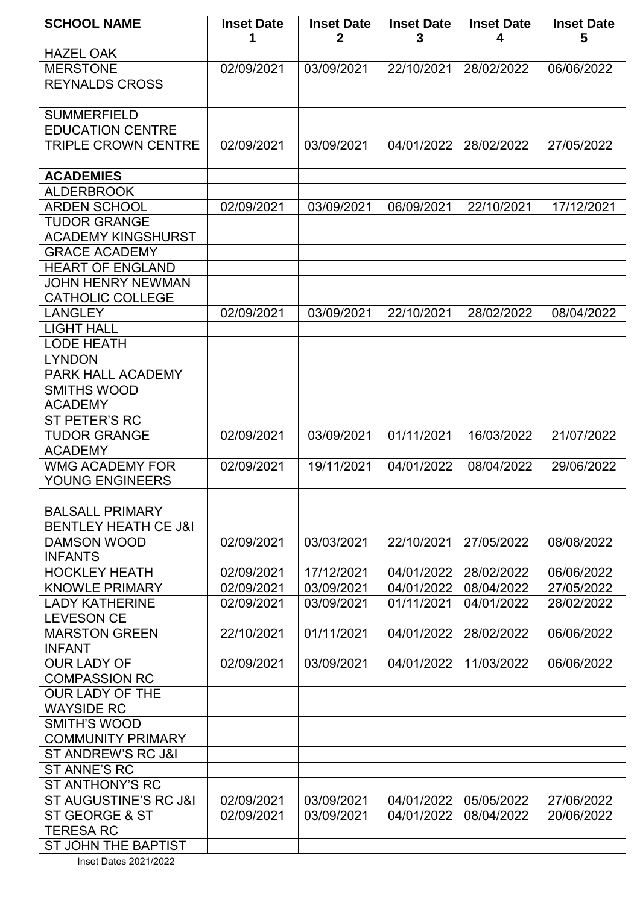| <b>SCHOOL NAME</b>                              | <b>Inset Date</b><br>1 | <b>Inset Date</b><br>$\mathbf{2}$ | <b>Inset Date</b><br>3 | <b>Inset Date</b><br>4   | <b>Inset Date</b><br>5   |
|-------------------------------------------------|------------------------|-----------------------------------|------------------------|--------------------------|--------------------------|
| <b>HAZEL OAK</b>                                |                        |                                   |                        |                          |                          |
| <b>MERSTONE</b>                                 | 02/09/2021             | 03/09/2021                        | 22/10/2021             | 28/02/2022               | 06/06/2022               |
| <b>REYNALDS CROSS</b>                           |                        |                                   |                        |                          |                          |
|                                                 |                        |                                   |                        |                          |                          |
| <b>SUMMERFIELD</b>                              |                        |                                   |                        |                          |                          |
| <b>EDUCATION CENTRE</b>                         |                        |                                   |                        |                          |                          |
| <b>TRIPLE CROWN CENTRE</b>                      | 02/09/2021             | 03/09/2021                        | 04/01/2022             | 28/02/2022               | 27/05/2022               |
|                                                 |                        |                                   |                        |                          |                          |
| <b>ACADEMIES</b>                                |                        |                                   |                        |                          |                          |
| <b>ALDERBROOK</b>                               |                        |                                   |                        |                          |                          |
| <b>ARDEN SCHOOL</b>                             | 02/09/2021             | 03/09/2021                        | 06/09/2021             | 22/10/2021               | 17/12/2021               |
| <b>TUDOR GRANGE</b>                             |                        |                                   |                        |                          |                          |
| <b>ACADEMY KINGSHURST</b>                       |                        |                                   |                        |                          |                          |
| <b>GRACE ACADEMY</b>                            |                        |                                   |                        |                          |                          |
| <b>HEART OF ENGLAND</b>                         |                        |                                   |                        |                          |                          |
| JOHN HENRY NEWMAN                               |                        |                                   |                        |                          |                          |
| <b>CATHOLIC COLLEGE</b>                         |                        |                                   |                        |                          |                          |
| <b>LANGLEY</b>                                  | 02/09/2021             | 03/09/2021                        | 22/10/2021             | 28/02/2022               | 08/04/2022               |
| <b>LIGHT HALL</b>                               |                        |                                   |                        |                          |                          |
| <b>LODE HEATH</b>                               |                        |                                   |                        |                          |                          |
| <b>LYNDON</b>                                   |                        |                                   |                        |                          |                          |
| PARK HALL ACADEMY                               |                        |                                   |                        |                          |                          |
| <b>SMITHS WOOD</b>                              |                        |                                   |                        |                          |                          |
| <b>ACADEMY</b>                                  |                        |                                   |                        |                          |                          |
| ST PETER'S RC                                   |                        |                                   |                        |                          |                          |
| <b>TUDOR GRANGE</b>                             | 02/09/2021             | 03/09/2021                        | 01/11/2021             | 16/03/2022               | 21/07/2022               |
| <b>ACADEMY</b>                                  |                        |                                   |                        |                          |                          |
| <b>WMG ACADEMY FOR</b>                          | 02/09/2021             | 19/11/2021                        | 04/01/2022             | 08/04/2022               | 29/06/2022               |
| YOUNG ENGINEERS                                 |                        |                                   |                        |                          |                          |
|                                                 |                        |                                   |                        |                          |                          |
| <b>BALSALL PRIMARY</b>                          |                        |                                   |                        |                          |                          |
| <b>BENTLEY HEATH CE J&amp;I</b>                 |                        |                                   |                        |                          |                          |
| <b>DAMSON WOOD</b>                              | 02/09/2021             | 03/03/2021                        | 22/10/2021             | 27/05/2022               | 08/08/2022               |
| <b>INFANTS</b>                                  |                        |                                   |                        |                          |                          |
| <b>HOCKLEY HEATH</b>                            | 02/09/2021             | 17/12/2021                        | 04/01/2022             | 28/02/2022               | 06/06/2022               |
| <b>KNOWLE PRIMARY</b>                           | 02/09/2021             | 03/09/2021                        | 04/01/2022             | 08/04/2022               | 27/05/2022               |
| <b>LADY KATHERINE</b>                           | 02/09/2021             | 03/09/2021                        | 01/11/2021             | 04/01/2022               | 28/02/2022               |
| <b>LEVESON CE</b>                               |                        |                                   |                        |                          |                          |
| <b>MARSTON GREEN</b>                            | 22/10/2021             | 01/11/2021                        | 04/01/2022             | 28/02/2022               | 06/06/2022               |
| <b>INFANT</b>                                   |                        |                                   |                        |                          |                          |
| <b>OUR LADY OF</b>                              | 02/09/2021             | 03/09/2021                        | 04/01/2022             | 11/03/2022               | 06/06/2022               |
| <b>COMPASSION RC</b>                            |                        |                                   |                        |                          |                          |
| <b>OUR LADY OF THE</b>                          |                        |                                   |                        |                          |                          |
| <b>WAYSIDE RC</b>                               |                        |                                   |                        |                          |                          |
| <b>SMITH'S WOOD</b><br><b>COMMUNITY PRIMARY</b> |                        |                                   |                        |                          |                          |
|                                                 |                        |                                   |                        |                          |                          |
| ST ANDREW'S RC J&I                              |                        |                                   |                        |                          |                          |
| ST ANNE'S RC                                    |                        |                                   |                        |                          |                          |
| ST ANTHONY'S RC<br>ST AUGUSTINE'S RC J&I        | 02/09/2021             | 03/09/2021                        | 04/01/2022             |                          |                          |
| ST GEORGE & ST                                  | 02/09/2021             | 03/09/2021                        | 04/01/2022             | 05/05/2022<br>08/04/2022 | 27/06/2022<br>20/06/2022 |
| <b>TERESA RC</b>                                |                        |                                   |                        |                          |                          |
| <b>ST JOHN THE BAPTIST</b>                      |                        |                                   |                        |                          |                          |
|                                                 |                        |                                   |                        |                          |                          |

Inset Dates 2021/2022